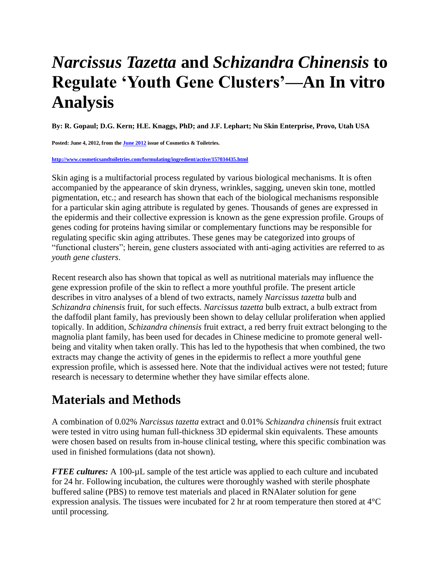## *Narcissus Tazetta* **and** *Schizandra Chinensis* **to Regulate 'Youth Gene Clusters'—An In vitro Analysis**

**By: R. Gopaul; D.G. Kern; H.E. Knaggs, PhD; and J.F. Lephart; Nu Skin Enterprise, Provo, Utah USA**

**Posted: June 4, 2012, from th[e June 2012](http://www.cosmeticsandtoiletries.com/magazine/pastissues/2012/136816043.html) issue of Cosmetics & Toiletries.**

## **<http://www.cosmeticsandtoiletries.com/formulating/ingredient/active/157034435.html>**

Skin aging is a multifactorial process regulated by various biological mechanisms. It is often accompanied by the appearance of skin dryness, wrinkles, sagging, uneven skin tone, mottled pigmentation, etc.; and research has shown that each of the biological mechanisms responsible for a particular skin aging attribute is regulated by genes. Thousands of genes are expressed in the epidermis and their collective expression is known as the gene expression profile. Groups of genes coding for proteins having similar or complementary functions may be responsible for regulating specific skin aging attributes. These genes may be categorized into groups of "functional clusters"; herein, gene clusters associated with anti-aging activities are referred to as *youth gene clusters*.

Recent research also has shown that topical as well as nutritional materials may influence the gene expression profile of the skin to reflect a more youthful profile. The present article describes in vitro analyses of a blend of two extracts, namely *Narcissus tazetta* bulb and *Schizandra chinensis* fruit, for such effects. *Narcissus tazetta* bulb extract, a bulb extract from the daffodil plant family, has previously been shown to delay cellular proliferation when applied topically. In addition, *Schizandra chinensis* fruit extract, a red berry fruit extract belonging to the magnolia plant family, has been used for decades in Chinese medicine to promote general wellbeing and vitality when taken orally. This has led to the hypothesis that when combined, the two extracts may change the activity of genes in the epidermis to reflect a more youthful gene expression profile, which is assessed here. Note that the individual actives were not tested; future research is necessary to determine whether they have similar effects alone.

## **Materials and Methods**

A combination of 0.02% *Narcissus tazetta* extract and 0.01% *Schizandra chinensis* fruit extract were tested in vitro using human full-thickness 3D epidermal skin equivalents. These amounts were chosen based on results from in-house clinical testing, where this specific combination was used in finished formulations (data not shown).

*FTEE cultures:* A 100-µL sample of the test article was applied to each culture and incubated for 24 hr. Following incubation, the cultures were thoroughly washed with sterile phosphate buffered saline (PBS) to remove test materials and placed in RNAlater solution for gene expression analysis. The tissues were incubated for 2 hr at room temperature then stored at 4°C until processing.